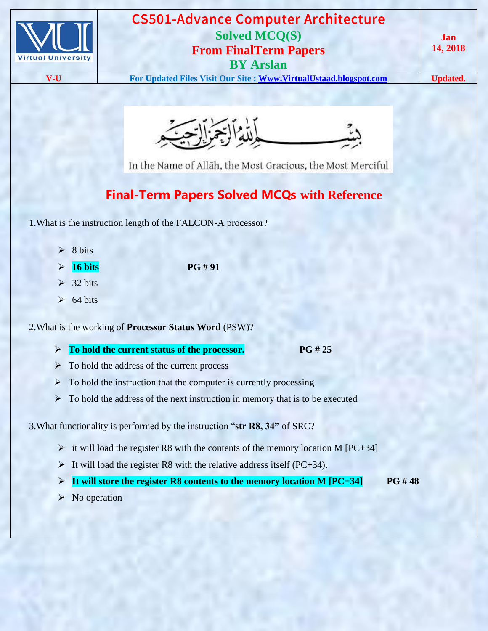



In the Name of Allāh, the Most Gracious, the Most Merciful

# **Final-Term Papers Solved MCQs with Reference**

- 1.What is the instruction length of the FALCON-A processor?
	- $\geq 8$  bits
		- **16 bits PG # 91**

- $\geq$  32 bits
- $\geq 64 \text{ bits}$

2.What is the working of **Processor Status Word** (PSW)?

- **To hold the current status of the processor. PG # 25**
- $\triangleright$  To hold the address of the current process
- $\triangleright$  To hold the instruction that the computer is currently processing
- $\triangleright$  To hold the address of the next instruction in memory that is to be executed

3.What functionality is performed by the instruction "**str R8, 34"** of SRC?

- $\triangleright$  it will load the register R8 with the contents of the memory location M [PC+34]
- It will load the register R8 with the relative address itself (PC+34).
- **It will store the register R8 contents to the memory location M [PC+34] PG # 48**
- $\triangleright$  No operation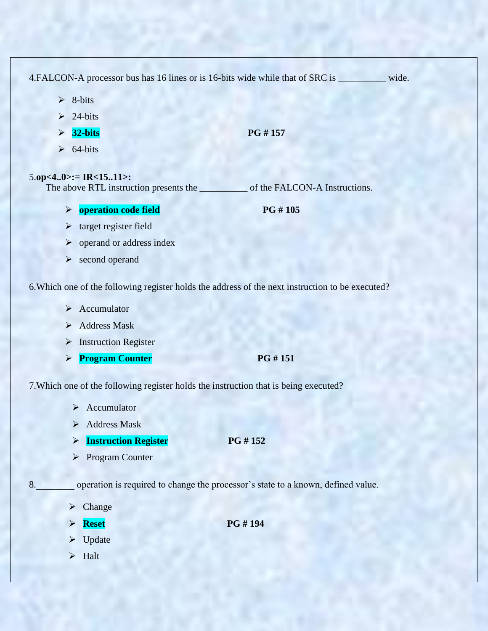4.FALCON-A processor bus has 16 lines or is 16-bits wide while that of SRC is \_\_\_\_\_\_\_\_\_\_ wide.

- $\geq 8$ -bits
- $\geq 24$ -bits
- **32-bits PG # 157**
- $\geq 64$ -bits

# 5.**op<4..0>:= IR<15..11>:**

The above RTL instruction presents the \_\_\_\_\_\_\_\_\_\_\_\_\_ of the FALCON-A Instructions.

**b operation code field PG # 105** 

- $\triangleright$  target register field
- $\triangleright$  operand or address index
- $\triangleright$  second operand

6.Which one of the following register holds the address of the next instruction to be executed?

- $\triangleright$  Accumulator
- $\triangleright$  Address Mask
- $\triangleright$  Instruction Register
- **Program Counter PG # 151**

7.Which one of the following register holds the instruction that is being executed?

- $\triangleright$  Accumulator
- $\triangleright$  Address Mask
- **Instruction Register** PG # 152
- Program Counter

8. operation is required to change the processor's state to a known, defined value.

- $\triangleright$  Change
- $\triangleright$  **Reset PG # 194**
- $\triangleright$  Update
- $\triangleright$  Halt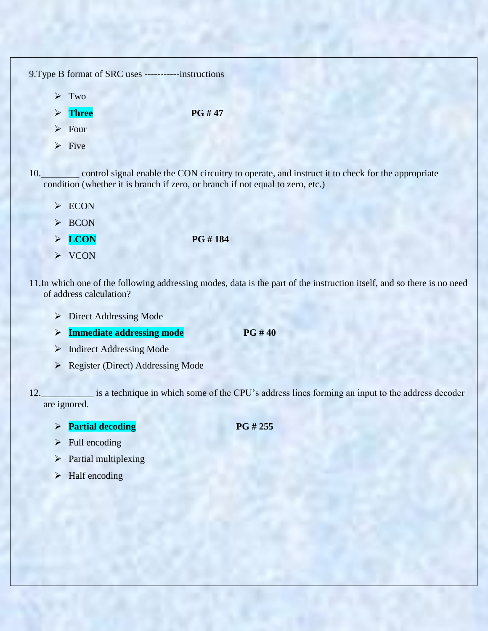| 9. Type B format of SRC uses -------- | -instructions |  |
|---------------------------------------|---------------|--|
| $\triangleright$ Two                  |               |  |
| $\triangleright$ Three                | PG #47        |  |
| $\triangleright$ Four                 |               |  |
| $\triangleright$ Five                 |               |  |
|                                       |               |  |

10.\_\_\_\_\_\_\_\_ control signal enable the CON circuitry to operate, and instruct it to check for the appropriate condition (whether it is branch if zero, or branch if not equal to zero, etc.)

- $\triangleright$  ECON
- $\triangleright$  BCON
- $\triangleright$  LCON PG # 184
- $\triangleright$  VCON

11.In which one of the following addressing modes, data is the part of the instruction itself, and so there is no need of address calculation?

- Direct Addressing Mode
- **Immediate addressing mode** PG # 40
- > Indirect Addressing Mode
- Register (Direct) Addressing Mode

12.\_\_\_\_\_\_\_\_\_\_\_ is a technique in which some of the CPU"s address lines forming an input to the address decoder are ignored.

- **Partial decoding PG # 255** 
	-

- $\triangleright$  Full encoding
- > Partial multiplexing
- $\blacktriangleright$  Half encoding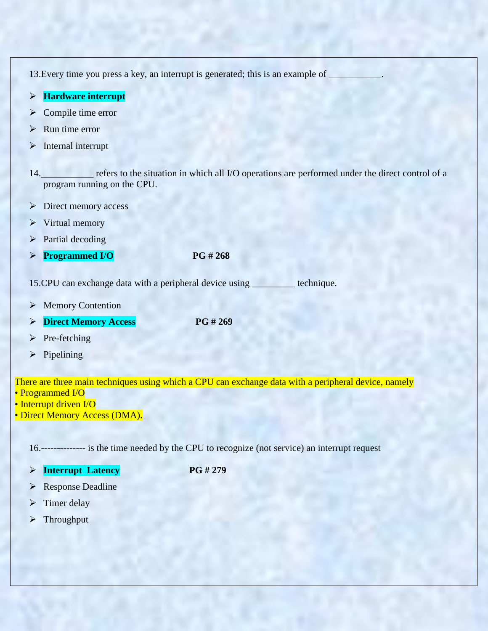13. Every time you press a key, an interrupt is generated; this is an example of

- **Hardware interrupt**
- $\triangleright$  Compile time error
- $\triangleright$  Run time error
- $\triangleright$  Internal interrupt
- 14.\_\_\_\_\_\_\_\_\_\_\_ refers to the situation in which all I/O operations are performed under the direct control of a program running on the CPU.
- **Direct memory access**
- $\triangleright$  Virtual memory
- $\triangleright$  Partial decoding
- **Programmed I/O** PG # 268

15.CPU can exchange data with a peripheral device using \_\_\_\_\_\_\_\_\_ technique.

- **►** Memory Contention
- **Direct Memory Access** PG # 269
- $\triangleright$  Pre-fetching
- $\triangleright$  Pipelining

There are three main techniques using which a CPU can exchange data with a peripheral device, namely • Programmed I/O

- Interrupt driven I/O
- Direct Memory Access (DMA).

16.-------------- is the time needed by the CPU to recognize (not service) an interrupt request

**Interrupt Latency PG # 279**

- Response Deadline
- $\triangleright$  Timer delay
- > Throughput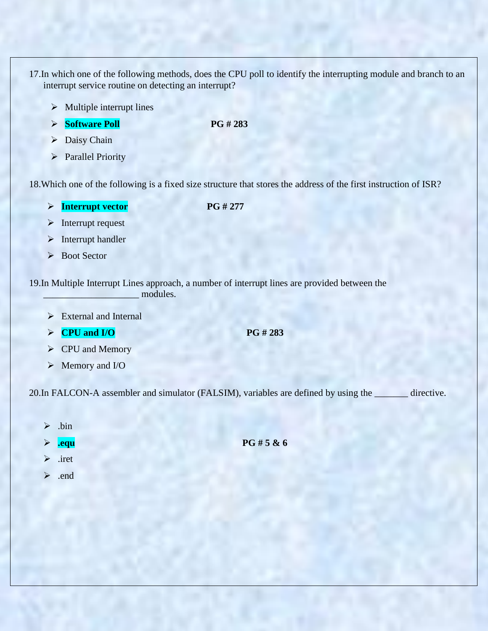- 17.In which one of the following methods, does the CPU poll to identify the interrupting module and branch to an interrupt service routine on detecting an interrupt?
	- $\triangleright$  Multiple interrupt lines
	- **Software Poll** PG # 283
	- $\triangleright$  Daisy Chain
	- > Parallel Priority

18.Which one of the following is a fixed size structure that stores the address of the first instruction of ISR?

**Interrupt vector** PG # 277

- $\triangleright$  Interrupt request
- $\triangleright$  Interrupt handler
- ▶ Boot Sector

19.In Multiple Interrupt Lines approach, a number of interrupt lines are provided between the modules.

- External and Internal
- $\triangleright$  **CPU and I/O** PG # 283

- $\triangleright$  CPU and Memory
- Memory and I/O

20.In FALCON-A assembler and simulator (FALSIM), variables are defined by using the \_\_\_\_\_\_\_ directive.

- $\triangleright$  .bin
- 

**.equ** PG # 5 & 6

- $\triangleright$  .iret
- .end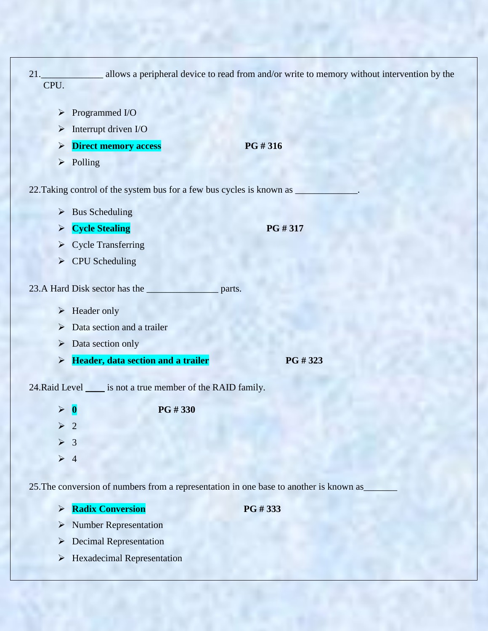| 21.<br>CPU.                                                                            | allows a peripheral device to read from and/or write to memory without intervention by the |
|----------------------------------------------------------------------------------------|--------------------------------------------------------------------------------------------|
| Programmed I/O<br>$\blacktriangleright$                                                |                                                                                            |
| Interrupt driven I/O<br>$\blacktriangleright$                                          |                                                                                            |
| <b>Direct memory access</b><br>$\blacktriangleright$                                   | PG #316                                                                                    |
| Polling<br>$\blacktriangleright$                                                       |                                                                                            |
|                                                                                        |                                                                                            |
| <b>Bus Scheduling</b><br>$\blacktriangleright$                                         |                                                                                            |
| <b>Cycle Stealing</b><br>$\blacktriangleright$                                         | PG #317                                                                                    |
| <b>Cycle Transferring</b><br>$\blacktriangleright$                                     |                                                                                            |
| <b>CPU</b> Scheduling<br>$\blacktriangleright$                                         |                                                                                            |
| 23.A Hard Disk sector has the<br>parts.                                                |                                                                                            |
| Header only<br>$\blacktriangleright$                                                   |                                                                                            |
| Data section and a trailer<br>$\blacktriangleright$                                    |                                                                                            |
| Data section only<br>$\blacktriangleright$                                             |                                                                                            |
| Header, data section and a trailer<br>$\blacktriangleright$                            | PG #323                                                                                    |
| 24. Raid Level ______ is not a true member of the RAID family.                         |                                                                                            |
| PG #330<br>$\bf{0}$<br>$\blacktriangleright$                                           |                                                                                            |
| $\overline{2}$<br>$\blacktriangleright$                                                |                                                                                            |
| $\triangleright$ 3                                                                     |                                                                                            |
| $\triangleright$ 4                                                                     |                                                                                            |
| 25. The conversion of numbers from a representation in one base to another is known as |                                                                                            |
| <b>Radix Conversion</b><br>$\blacktriangleright$                                       | PG #333                                                                                    |
| <b>Number Representation</b><br>$\blacktriangleright$                                  |                                                                                            |

- Decimal Representation
- $\triangleright$  Hexadecimal Representation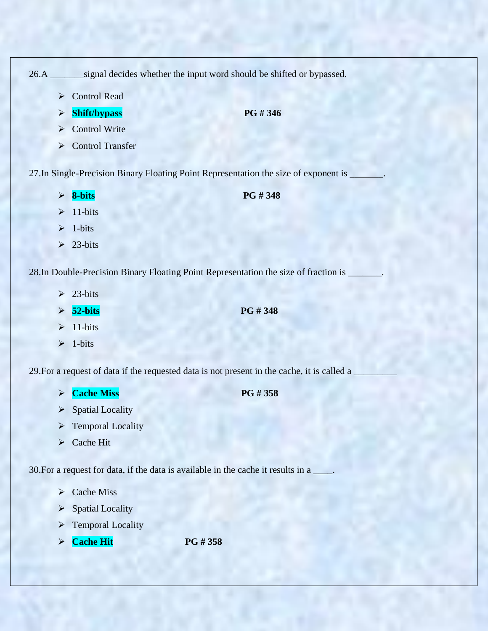26.A \_\_\_\_\_\_\_signal decides whether the input word should be shifted or bypassed.

- ▶ Control Read
- $\triangleright$  **Shift/bypass** PG # 346
- **►** Control Write
- Control Transfer

27.In Single-Precision Binary Floating Point Representation the size of exponent is \_\_\_\_\_\_\_.

- 
- **8-bits PG # 348**
- $\geq 11$ -bits
- $\geq 1$ -bits
- $\geq 23$ -bits

28.In Double-Precision Binary Floating Point Representation the size of fraction is \_\_\_\_\_\_\_.

- $\geq$  23-bits
- **52-bits PG # 348**

- $\geq 11$ -bits
- $\geq 1$ -bits

29. For a request of data if the requested data is not present in the cache, it is called a

**Cache Miss** PG # 358

- $\triangleright$  Spatial Locality
- $\triangleright$  Temporal Locality
- Cache Hit

30.For a request for data, if the data is available in the cache it results in a \_\_\_\_.

- $\triangleright$  Cache Miss
- $\triangleright$  Spatial Locality
- $\triangleright$  Temporal Locality
- **Cache Hit PG # 358**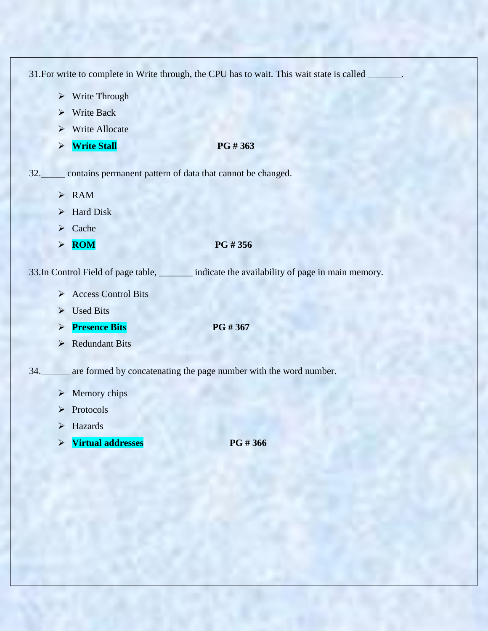|     |                                                                | 31. For write to complete in Write through, the CPU has to wait. This wait state is called |
|-----|----------------------------------------------------------------|--------------------------------------------------------------------------------------------|
|     | $\triangleright$ Write Through                                 |                                                                                            |
|     | Write Back<br>⋗                                                |                                                                                            |
|     | <b>Write Allocate</b>                                          |                                                                                            |
|     | <b>Write Stall</b><br>$\blacktriangleright$                    | PG #363                                                                                    |
|     | 32. contains permanent pattern of data that cannot be changed. |                                                                                            |
|     | $>$ RAM                                                        |                                                                                            |
|     | <b>Hard Disk</b><br>➤                                          |                                                                                            |
|     | Cache<br>➤                                                     |                                                                                            |
|     | <b>ROM</b><br>$\blacktriangleright$                            | PG #356                                                                                    |
|     |                                                                | 33. In Control Field of page table, indicate the availability of page in main memory.      |
|     | Access Control Bits                                            |                                                                                            |
|     | <b>Used Bits</b><br>➤                                          |                                                                                            |
|     | <b>Presence Bits</b><br>➤                                      | PG #367                                                                                    |
|     | <b>Redundant Bits</b><br>➤                                     |                                                                                            |
| 34. |                                                                | are formed by concatenating the page number with the word number.                          |
|     | $\triangleright$ Memory chips                                  |                                                                                            |
|     | Protocols<br>⋗                                                 |                                                                                            |
|     | Hazards<br>➤                                                   |                                                                                            |
|     | <b>Virtual addresses</b><br>$\blacktriangleright$              | PG #366                                                                                    |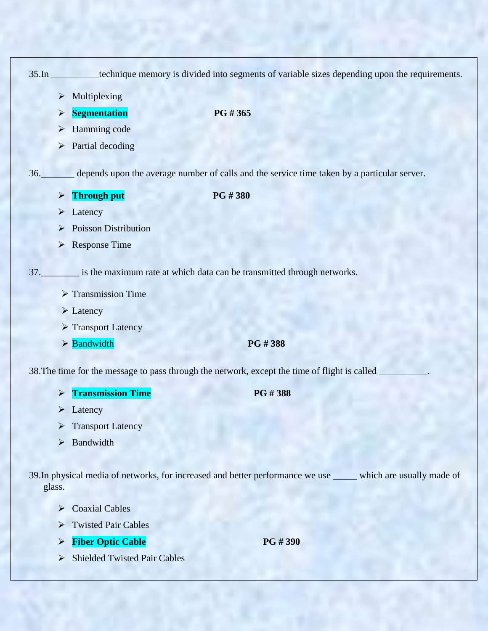|                                                     | 35.In __________technique memory is divided into segments of variable sizes depending upon the requirements. |
|-----------------------------------------------------|--------------------------------------------------------------------------------------------------------------|
| Multiplexing<br>$\blacktriangleright$               |                                                                                                              |
| <b>Segmentation</b><br>$\blacktriangleright$        | PG # 365                                                                                                     |
| Hamming code                                        |                                                                                                              |
| Partial decoding<br>➤                               |                                                                                                              |
|                                                     | 36. depends upon the average number of calls and the service time taken by a particular server.              |
|                                                     |                                                                                                              |
| <b>Through put</b><br>$\blacktriangleright$         | PG #380                                                                                                      |
| Latency                                             |                                                                                                              |
| <b>Poisson Distribution</b>                         |                                                                                                              |
| <b>Response Time</b><br>$\blacktriangleright$       |                                                                                                              |
|                                                     | 37. is the maximum rate at which data can be transmitted through networks.                                   |
| $\triangleright$ Transmission Time                  |                                                                                                              |
| $\triangleright$ Latency                            |                                                                                                              |
| Transport Latency                                   |                                                                                                              |
| $\triangleright$ <b>Bandwidth</b>                   | PG #388                                                                                                      |
|                                                     | 38. The time for the message to pass through the network, except the time of flight is called                |
| <b>Transmission Time</b>                            | PG#388                                                                                                       |
| Latency<br>➤                                        |                                                                                                              |
| <b>Transport Latency</b>                            |                                                                                                              |
| Bandwidth<br>$\blacktriangleright$                  |                                                                                                              |
|                                                     |                                                                                                              |
| glass.                                              | 39. In physical media of networks, for increased and better performance we use<br>which are usually made of  |
| <b>Coaxial Cables</b><br>$\blacktriangleright$      |                                                                                                              |
| <b>Twisted Pair Cables</b><br>$\blacktriangleright$ |                                                                                                              |
| <b>Fiber Optic Cable</b><br>$\blacktriangleright$   | PG #390                                                                                                      |
| <b>Shielded Twisted Pair Cables</b><br>➤            |                                                                                                              |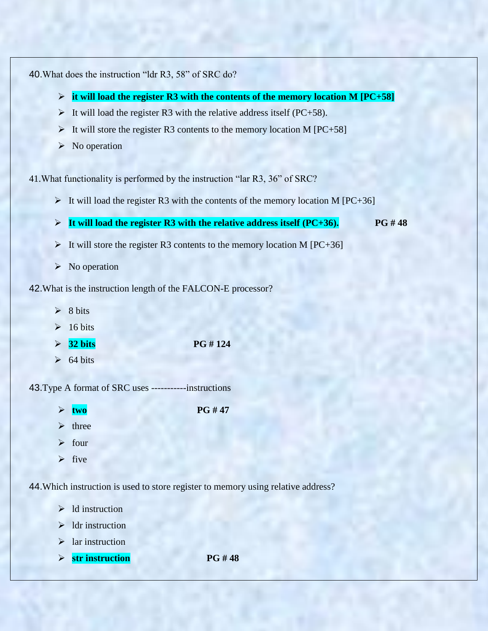40.What does the instruction "ldr R3, 58" of SRC do?

- **it will load the register R3 with the contents of the memory location M [PC+58]**
- It will load the register R3 with the relative address itself (PC+58).
- It will store the register R3 contents to the memory location M  $[PC+58]$
- $\triangleright$  No operation

41.What functionality is performed by the instruction "lar R3, 36" of SRC?

- It will load the register R3 with the contents of the memory location M  $[PC+36]$
- **It will load the register R3 with the relative address itself (PC+36). PG # 48**
- It will store the register R3 contents to the memory location M  $[PC+36]$
- $\triangleright$  No operation

42.What is the instruction length of the FALCON-E processor?

- $\geq 8$  bits
- $\geq 16 \text{ bits}$
- $\geq 32 \text{ bits}$  PG # 124
- $\geq 64 \text{ bits}$

43.Type A format of SRC uses -----------instructions

- $\triangleright$  two PG # 47
- $\triangleright$  three
- $\triangleright$  four
- $\triangleright$  five

44.Which instruction is used to store register to memory using relative address?

- $\triangleright$  ld instruction
- $\triangleright$  1 dr instruction
- $\blacktriangleright$  lar instruction
- **str instruction PG # 48**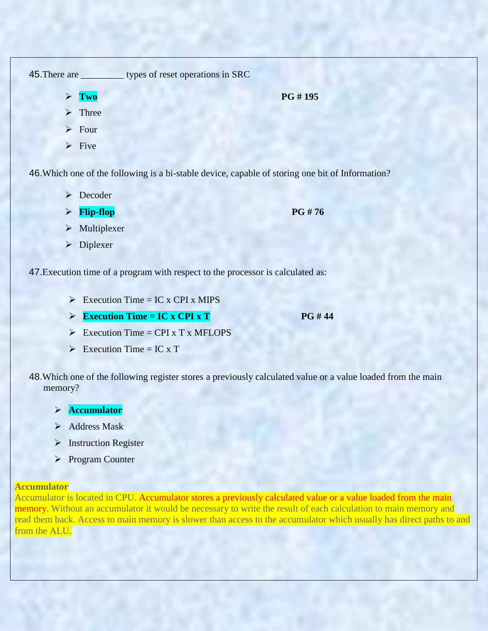| 45. There are                                                                                    | types of reset operations in SRC |  |
|--------------------------------------------------------------------------------------------------|----------------------------------|--|
| Two<br>$\blacktriangleright$                                                                     | PG #195                          |  |
| $\triangleright$ Three                                                                           |                                  |  |
| $\triangleright$ Four                                                                            |                                  |  |
| $\triangleright$ Five                                                                            |                                  |  |
| 46. Which one of the following is a bi-stable device, capable of storing one bit of Information? |                                  |  |

- **Decoder**
- $\triangleright$  **Flip-flop PG** # 76

- $\triangleright$  Multiplexer
- > Diplexer

47.Execution time of a program with respect to the processor is calculated as:

- $\triangleright$  Execution Time = IC x CPI x MIPS
- Execution Time = IC x CPI x T

- $\triangleright$  Execution Time = CPI x T x MFLOPS
- Execution Time = IC x T
- 48.Which one of the following register stores a previously calculated value or a value loaded from the main memory?
	- **Accumulator**
	- $\triangleright$  Address Mask
	- > Instruction Register
	- Program Counter

### **Accumulator**

Accumulator is located in CPU. Accumulator stores a previously calculated value or a value loaded from the main memory. Without an accumulator it would be necessary to write the result of each calculation to main memory and read them back. Access to main memory is slower than access to the accumulator which usually has direct paths to and from the ALU.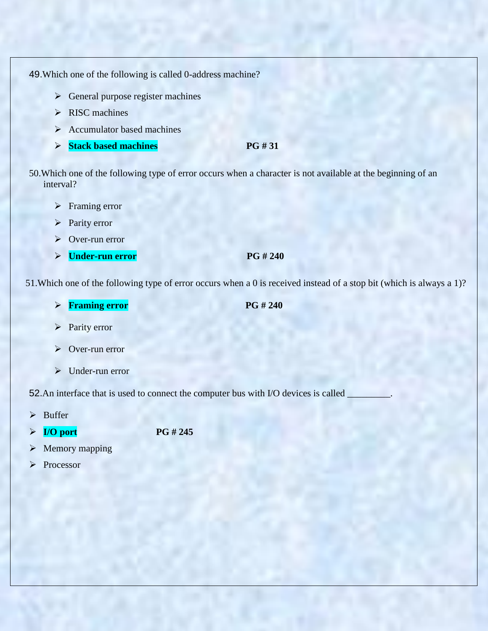49.Which one of the following is called 0-address machine?

- $\triangleright$  General purpose register machines
- $\triangleright$  RISC machines
- $\triangleright$  Accumulator based machines
- **Stack based machines** PG # 31

50.Which one of the following type of error occurs when a character is not available at the beginning of an interval?

- > Framing error
- > Parity error
- Over-run error
- **Limit Example 240** PG # 240

51.Which one of the following type of error occurs when a 0 is received instead of a stop bit (which is always a 1)?

- **Figure 1240** PG # 240
- $\triangleright$  Parity error
- Over-run error
- > Under-run error

52.An interface that is used to connect the computer bus with I/O devices is called

- $\triangleright$  Buffer
- **I/O port PG # 245**
- $\triangleright$  Memory mapping
- Processor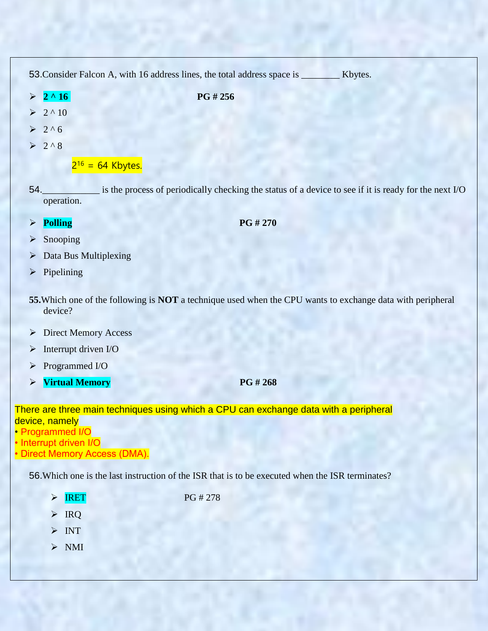|                       |                             | 53. Consider Falcon A, with 16 address lines, the total address space is _______<br>Kbytes.                |
|-----------------------|-----------------------------|------------------------------------------------------------------------------------------------------------|
| $\blacktriangleright$ | $2^{\wedge}16$              | PG #256                                                                                                    |
|                       | $2^{\wedge}10$              |                                                                                                            |
| $\blacktriangleright$ | $2^06$                      |                                                                                                            |
|                       | $\geq 2.8$                  |                                                                                                            |
|                       |                             | $2^{16} = 64$ Kbytes.                                                                                      |
|                       | 54.<br>operation.           | is the process of periodically checking the status of a device to see if it is ready for the next I/O      |
| $\blacktriangleright$ | <b>Polling</b>              | PG #270                                                                                                    |
| ➤                     | Snooping                    |                                                                                                            |
| ➤                     | Data Bus Multiplexing       |                                                                                                            |
| $\blacktriangleright$ | Pipelining                  |                                                                                                            |
|                       | device?                     | 55. Which one of the following is NOT a technique used when the CPU wants to exchange data with peripheral |
| $\blacktriangleright$ | <b>Direct Memory Access</b> |                                                                                                            |
| ➤                     | Interrupt driven I/O        |                                                                                                            |
| ➤                     | Programmed I/O              |                                                                                                            |
| $\blacktriangleright$ | <b>Virtual Memory</b>       | PG # 268                                                                                                   |
|                       |                             | There are three main techniques using which a CPU can exchange data with a peripheral                      |

device, namely

- Programmed I/O
- Interrupt driven I/O
- Direct Memory Access (DMA).

56.Which one is the last instruction of the ISR that is to be executed when the ISR terminates?

- $\triangleright$  IRET PG # 278
- $\triangleright$  IRQ
- $> \text{INT}$
- $>$  NMI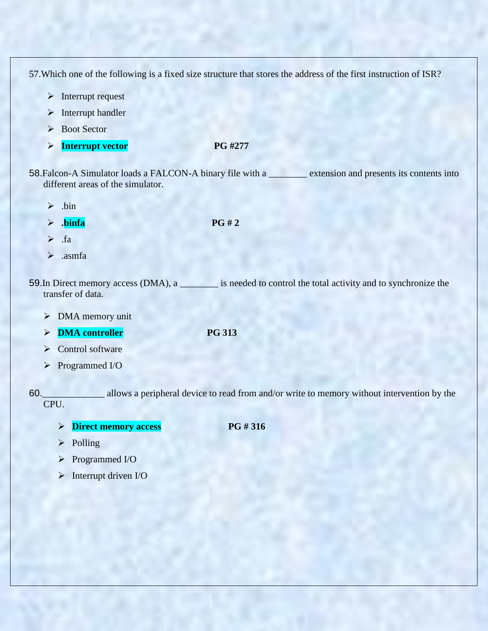57.Which one of the following is a fixed size structure that stores the address of the first instruction of ISR?

- $\triangleright$  Interrupt request
- $\triangleright$  Interrupt handler
- ▶ Boot Sector
- **Interrupt vector** PG #277

58.Falcon-A Simulator loads a FALCON-A binary file with a \_\_\_\_\_\_\_\_ extension and presents its contents into different areas of the simulator.

- $\triangleright$  .bin
- 
- $\triangleright$  **.** binfa PG # 2
- $\triangleright$  . fa
- $\triangleright$  .asmfa

59.In Direct memory access (DMA), a \_\_\_\_\_\_\_\_ is needed to control the total activity and to synchronize the transfer of data.

- > DMA memory unit
- **DMA controller** PG 313
- $\triangleright$  Control software
- Programmed I/O

60.\_\_\_\_\_\_\_\_\_\_\_\_\_ allows a peripheral device to read from and/or write to memory without intervention by the CPU.

**Direct memory access PG # 316** 

- $\triangleright$  Polling
- Programmed I/O
- $\triangleright$  Interrupt driven I/O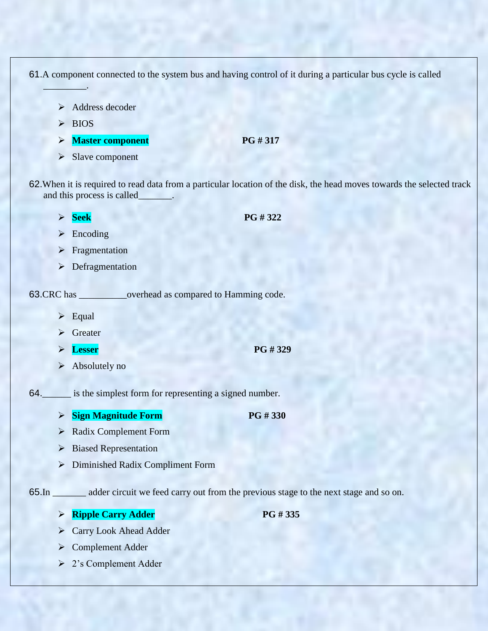61.A component connected to the system bus and having control of it during a particular bus cycle is called

- $\triangleright$  Address decoder
- $\triangleright$  BIOS

 $\mathcal{L}=\mathcal{L}$ 

- **Master component** PG # 317
- $\triangleright$  Slave component

62.When it is required to read data from a particular location of the disk, the head moves towards the selected track and this process is called\_\_\_\_\_\_\_.

 $\triangleright$  Seek PG # 322

- $\triangleright$  Encoding
- $\triangleright$  Fragmentation
- **>** Defragmentation

63.CRC has \_\_\_\_\_\_\_\_\_\_overhead as compared to Hamming code.

- $\triangleright$  Equal
- $\triangleright$  Greater
- **Lesser** PG # 329
- $\triangleright$  Absolutely no
- 64. is the simplest form for representing a signed number.
	- **Sign Magnitude Form PG # 330**
	- Radix Complement Form
	- $\triangleright$  Biased Representation
	- Diminished Radix Compliment Form

65.In \_\_\_\_\_\_\_ adder circuit we feed carry out from the previous stage to the next stage and so on.

- **PG # 335**
- Carry Look Ahead Adder
- **►** Complement Adder
- 2"s Complement Adder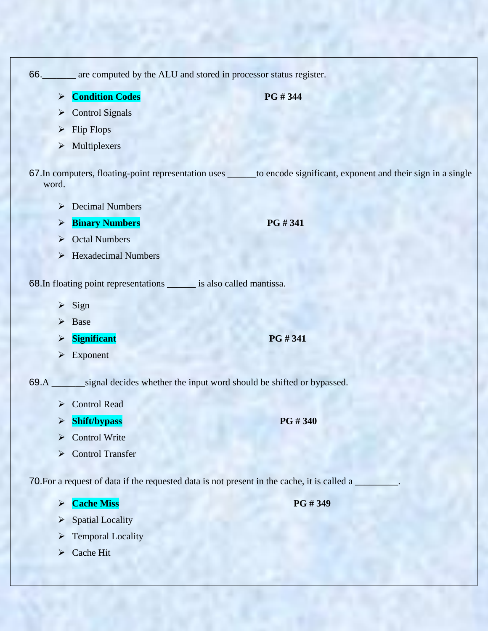| 66.                   | are computed by the ALU and stored in processor status register.                                |                                                                                                                        |
|-----------------------|-------------------------------------------------------------------------------------------------|------------------------------------------------------------------------------------------------------------------------|
| $\blacktriangleright$ | <b>Condition Codes</b>                                                                          | PG #344                                                                                                                |
| $\blacktriangleright$ | <b>Control Signals</b>                                                                          |                                                                                                                        |
| $\blacktriangleright$ | <b>Flip Flops</b>                                                                               |                                                                                                                        |
|                       | $\triangleright$ Multiplexers                                                                   |                                                                                                                        |
| word.                 |                                                                                                 | 67. In computers, floating-point representation uses ______ to encode significant, exponent and their sign in a single |
| ➤                     | <b>Decimal Numbers</b>                                                                          |                                                                                                                        |
| ➤                     | <b>Binary Numbers</b>                                                                           | PG #341                                                                                                                |
| $\blacktriangleright$ | <b>Octal Numbers</b>                                                                            |                                                                                                                        |
|                       | $\triangleright$ Hexadecimal Numbers                                                            |                                                                                                                        |
|                       | 68. In floating point representations _______ is also called mantissa.<br>$\triangleright$ Sign |                                                                                                                        |
| $\blacktriangleright$ | Base                                                                                            |                                                                                                                        |
| $\blacktriangleright$ | <b>Significant</b>                                                                              | PG #341                                                                                                                |
| $\blacktriangleright$ | Exponent                                                                                        |                                                                                                                        |
|                       | 69.A ________ signal decides whether the input word should be shifted or bypassed.              |                                                                                                                        |
| ➤                     | <b>Control Read</b>                                                                             |                                                                                                                        |
|                       | <b>Shift/bypass</b>                                                                             | PG #340                                                                                                                |
| ➤                     | Control Write                                                                                   |                                                                                                                        |
| $\blacktriangleright$ | <b>Control Transfer</b>                                                                         |                                                                                                                        |
|                       |                                                                                                 |                                                                                                                        |
|                       | 70. For a request of data if the requested data is not present in the cache, it is called a     |                                                                                                                        |
| $\blacktriangleright$ | <b>Cache Miss</b>                                                                               | PG #349                                                                                                                |

- $\triangleright$  Spatial Locality
- $\triangleright$  Temporal Locality
- $\triangleright$  Cache Hit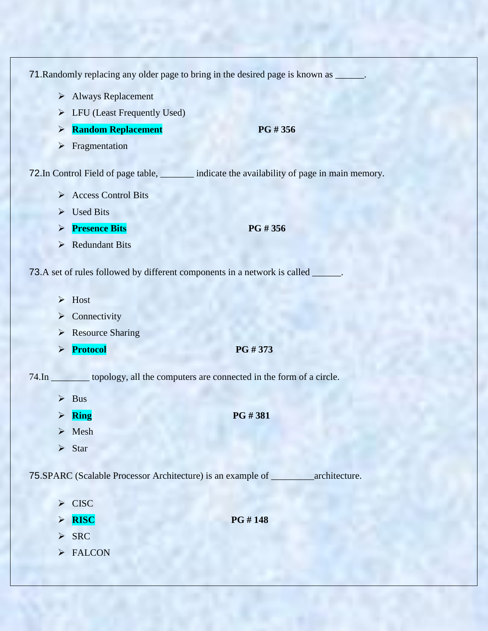71. Randomly replacing any older page to bring in the desired page is known as \_\_\_\_\_\_. Always Replacement LFU (Least Frequently Used) **Random Replacement** PG # 356  $\triangleright$  Fragmentation 72. In Control Field of page table, \_\_\_\_\_\_\_\_ indicate the availability of page in main memory. Access Control Bits  $\triangleright$  Used Bits **Presence Bits PG # 356**  $\triangleright$  Redundant Bits 73.A set of rules followed by different components in a network is called \_\_\_\_\_\_.  $\triangleright$  Host  $\triangleright$  Connectivity **Resource Sharing Protocol** PG # 373 74.In \_\_\_\_\_\_\_\_ topology, all the computers are connected in the form of a circle.  $\triangleright$  Bus **Ring PG # 381**  $\triangleright$  Mesh  $\triangleright$  Star 75.SPARC (Scalable Processor Architecture) is an example of \_\_\_\_\_\_\_\_\_architecture. > CISC  $\triangleright$  **RISC** PG # 148  $\triangleright$  SRC > FALCON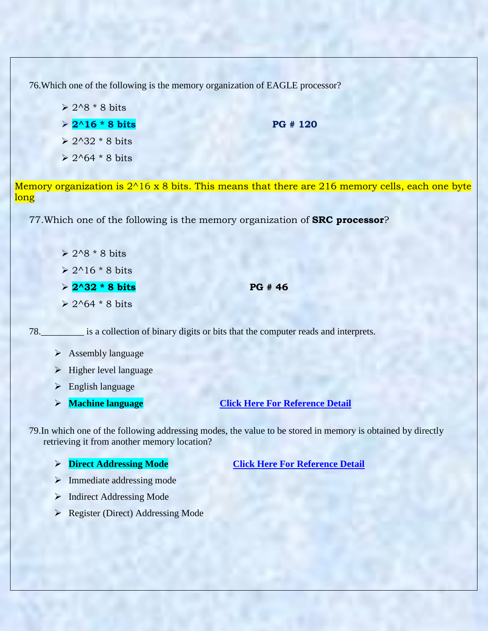76.Which one of the following is the memory organization of EAGLE processor?

- $\geq 2.8 * 8$  bits
- $2^{\wedge}16 * 8$  bits PG # 120
- $\geq 2^32 * 8$  bits
- $\geq 2.64 * 8$  bits

Memory organization is  $2^{\wedge}16$  x 8 bits. This means that there are 216 memory cells, each one byte long

77.Which one of the following is the memory organization of **SRC processor**?

- $\geq 2^8 * 8$  bits  $\geq 2^{\wedge}16 * 8$  bits
- **2^32 \* 8 bits PG # 46**
- $> 2^{64} * 8 \text{ bits}$

78.\_\_\_\_\_\_\_\_\_ is a collection of binary digits or bits that the computer reads and interprets.

- $\triangleright$  Assembly language
- $\triangleright$  Higher level language
- English language
- 

## **Machine language [Click Here For Reference Detail](http://www.computerhope.com/jargon/m/machlang.htm)**

79.In which one of the following addressing modes, the value to be stored in memory is obtained by directly retrieving it from another memory location?

**Direct Addressing Mode [Click Here For Reference Detail](http://www.8052.com/tutaddr.phtml)**

- $\triangleright$  Immediate addressing mode
- $\triangleright$  Indirect Addressing Mode
- ▶ Register (Direct) Addressing Mode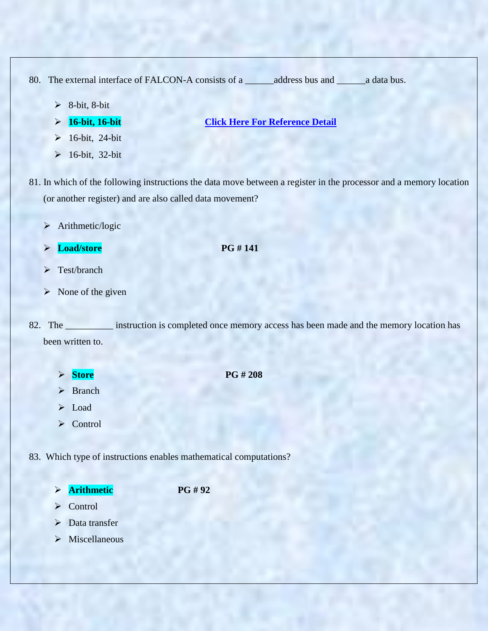80. The external interface of FALCON-A consists of a \_\_\_\_\_\_address bus and \_\_\_\_\_\_a data bus.

- $\geq$  8-bit, 8-bit
- 
- **16-bit, 16-bit [Click Here For Reference Detail](http://ckbooks.com/computers/advanced-computer-architecture/structural-rtl-for-return-instruction/)**
- $\geq 16$ -bit, 24-bit
- $\triangleright$  16-bit, 32-bit
- 81. In which of the following instructions the data move between a register in the processor and a memory location (or another register) and are also called data movement?
	- > Arithmetic/logic
	- **Load/store** PG # 141
	- > Test/branch
	- $\triangleright$  None of the given

82. The \_\_\_\_\_\_\_\_\_\_\_ instruction is completed once memory access has been made and the memory location has been written to.

- **Store** PG # 208
- > Branch
- > Load
- **≻** Control

83. Which type of instructions enables mathematical computations?

**Arithmetic PG # 92**

- **≻** Control
- Data transfer
- $\triangleright$  Miscellaneous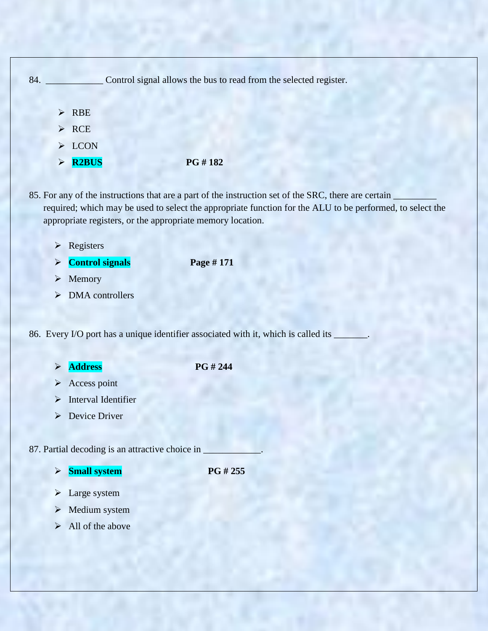

85. For any of the instructions that are a part of the instruction set of the SRC, there are certain required; which may be used to select the appropriate function for the ALU to be performed, to select the appropriate registers, or the appropriate memory location.

- **Exercise**
- **Control signals Page # 171**

- $\triangleright$  Memory
- $\triangleright$  DMA controllers

86. Every I/O port has a unique identifier associated with it, which is called its

- **Address** PG # 244
	- $\triangleright$  Access point
- $\triangleright$  Interval Identifier
- **Device Driver**

87. Partial decoding is an attractive choice in

**Small system PG # 255** 

- > Large system
- > Medium system
- $\blacktriangleright$  All of the above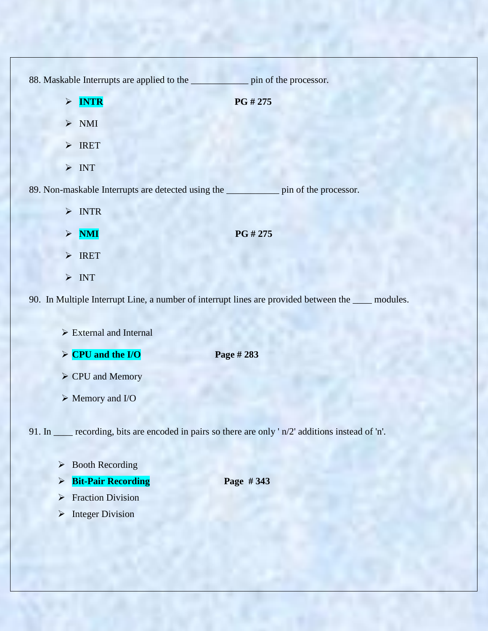88. Maskable Interrupts are applied to the \_\_\_\_\_\_\_\_\_\_\_\_ pin of the processor.  $\triangleright$  **INTR** PG # 275  $>$  NMI > IRET  $> \text{INT}$ 89. Non-maskable Interrupts are detected using the \_\_\_\_\_\_\_\_\_\_\_ pin of the processor. > INTR **NMI PG # 275** > IRET  $> \text{INT}$ 90. In Multiple Interrupt Line, a number of interrupt lines are provided between the \_\_\_\_ modules.  $\triangleright$  External and Internal  $\triangleright$  **CPU and the I/O** Page # 283 CPU and Memory Memory and I/O 91. In \_\_\_\_ recording, bits are encoded in pairs so there are only ' n/2' additions instead of 'n'.  $\triangleright$  Booth Recording **Bit-Pair Recording Page # 343 Fraction Division** 

 $\triangleright$  Integer Division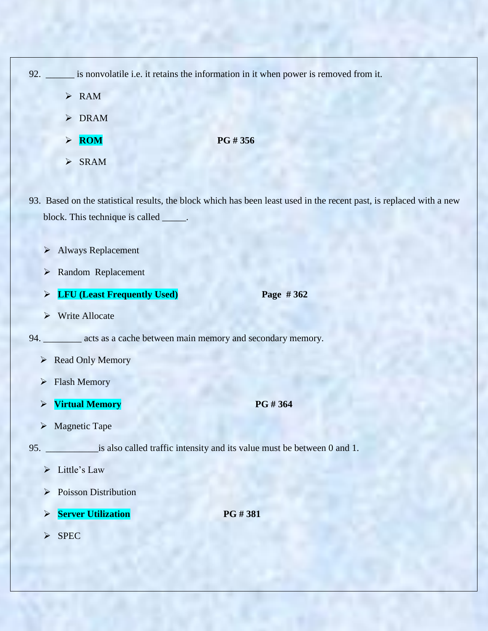| 92. | is nonvolatile i.e. it retains the information in it when power is removed from it. |               |
|-----|-------------------------------------------------------------------------------------|---------------|
|     | $\triangleright$ RAM                                                                |               |
|     | $\triangleright$ DRAM                                                               |               |
|     | <b>ROM</b>                                                                          | <b>PG#356</b> |

 $\triangleright$  SRAM

93. Based on the statistical results, the block which has been least used in the recent past, is replaced with a new block. This technique is called \_\_\_\_\_.

- Always Replacement
- Random Replacement
- **LFU (Least Frequently Used) Page # 362**
- Write Allocate

94. \_\_\_\_\_\_\_\_ acts as a cache between main memory and secondary memory.

- ▶ Read Only Memory
- > Flash Memory
- **Virtual Memory PG # 364**
- $\triangleright$  Magnetic Tape

95. \_\_\_\_\_\_\_\_\_\_\_is also called traffic intensity and its value must be between 0 and 1.

- $\triangleright$  Little's Law
- $\triangleright$  Poisson Distribution
- **Server Utilization** PG # 381

 $\triangleright$  SPEC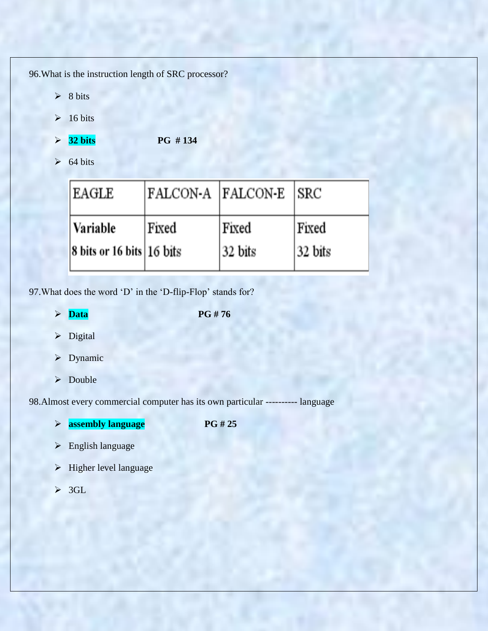96.What is the instruction length of SRC processor?

- $\geq 8$  bits
- $\geq 16 \text{ bits}$
- **32 bits PG # 134**
- $\geq 64 \text{ bits}$

| <b>EAGLE</b>                                             | FALCON-A FALCON-E SRC |         |         |
|----------------------------------------------------------|-----------------------|---------|---------|
| Variable                                                 | Fixed                 | Fixed   | Fixed   |
| $ 8 \text{ bits or } 16 \text{ bits}   16 \text{ bits} $ |                       | 32 bits | 32 bits |

97. What does the word 'D' in the 'D-flip-Flop' stands for?

- $\triangleright$  **Data** PG # 76
- > Digital
- $\triangleright$  Dynamic
- > Double

98.Almost every commercial computer has its own particular ---------- language

- **assembly language PG # 25**
- > English language
- $\blacktriangleright$  Higher level language
- $\geqslant$  3GL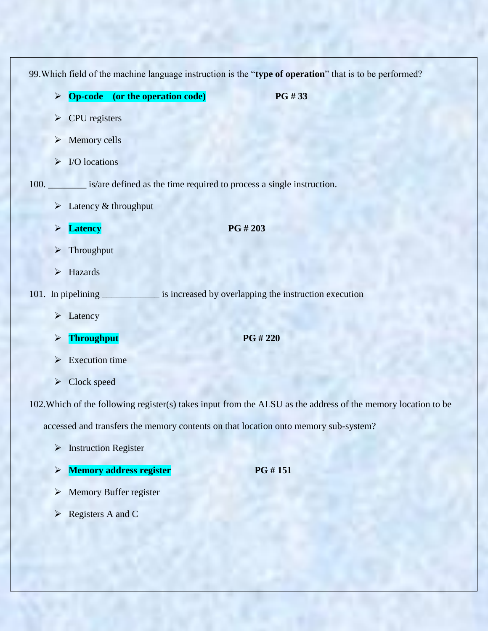|      |                                            |                                                                      |                                                       | 99. Which field of the machine language instruction is the "type of operation" that is to be performed?       |  |
|------|--------------------------------------------|----------------------------------------------------------------------|-------------------------------------------------------|---------------------------------------------------------------------------------------------------------------|--|
|      | $\blacktriangleright$                      | <b>Op-code</b> (or the operation code)                               | PG#33                                                 |                                                                                                               |  |
|      | CPU registers<br>$\blacktriangleright$     |                                                                      |                                                       |                                                                                                               |  |
|      | Memory cells<br>$\blacktriangleright$      |                                                                      |                                                       |                                                                                                               |  |
|      | I/O locations<br>$\blacktriangleright$     |                                                                      |                                                       |                                                                                                               |  |
| 100. |                                            | is/are defined as the time required to process a single instruction. |                                                       |                                                                                                               |  |
|      | $\blacktriangleright$                      | Latency & throughput                                                 |                                                       |                                                                                                               |  |
|      | <b>Latency</b><br>$\blacktriangleright$    |                                                                      | PG #203                                               |                                                                                                               |  |
|      | Throughput<br>$\blacktriangleright$        |                                                                      |                                                       |                                                                                                               |  |
|      | Hazards<br>$\blacktriangleright$           |                                                                      |                                                       |                                                                                                               |  |
|      | 101. In pipelining                         |                                                                      | is increased by overlapping the instruction execution |                                                                                                               |  |
|      | $\blacktriangleright$ Latency              |                                                                      |                                                       |                                                                                                               |  |
|      | <b>Throughput</b><br>$\blacktriangleright$ |                                                                      | <b>PG #220</b>                                        |                                                                                                               |  |
|      | <b>Execution</b> time                      |                                                                      |                                                       |                                                                                                               |  |
|      | $\triangleright$ Clock speed               |                                                                      |                                                       |                                                                                                               |  |
|      |                                            |                                                                      |                                                       | 102. Which of the following register(s) takes input from the ALSU as the address of the memory location to be |  |

accessed and transfers the memory contents on that location onto memory sub-system?

- > Instruction Register
- **Memory address register** PG # 151
- Memory Buffer register
- **►** Registers A and C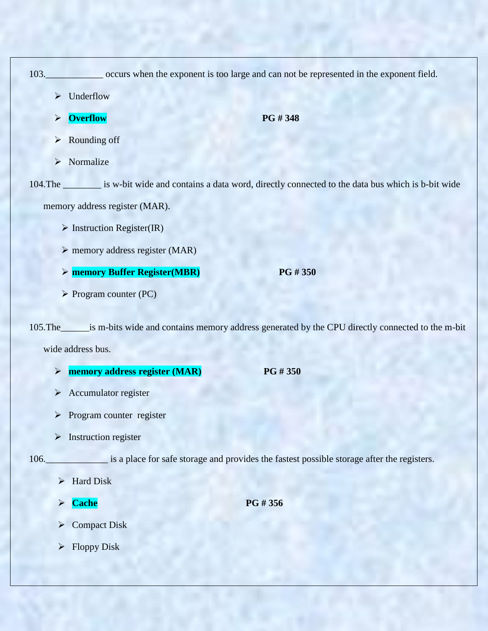|                       |                                                | 103. __________________ occurs when the exponent is too large and can not be represented in the exponent field.   |
|-----------------------|------------------------------------------------|-------------------------------------------------------------------------------------------------------------------|
| ≻                     | Underflow                                      |                                                                                                                   |
| $\blacktriangleright$ | <b>Overflow</b>                                | PG #348                                                                                                           |
| $\blacktriangleright$ | Rounding off                                   |                                                                                                                   |
| $\blacktriangleright$ | Normalize                                      |                                                                                                                   |
|                       |                                                | 104. The _________ is w-bit wide and contains a data word, directly connected to the data bus which is b-bit wide |
|                       | memory address register (MAR).                 |                                                                                                                   |
|                       | $\triangleright$ Instruction Register(IR)      |                                                                                                                   |
|                       | $\triangleright$ memory address register (MAR) |                                                                                                                   |
|                       | > memory Buffer Register(MBR)                  | PG #350                                                                                                           |
|                       | $\triangleright$ Program counter (PC)          |                                                                                                                   |
|                       | wide address bus.                              | is m-bits wide and contains memory address generated by the CPU directly connected to the m-bit                   |
| $\blacktriangleright$ | memory address register (MAR)                  | PG #350                                                                                                           |

- $\triangleright$  Accumulator register
- $\triangleright$  Program counter register
- $\triangleright$  Instruction register

106.\_\_\_\_\_\_\_\_\_\_\_\_\_ is a place for safe storage and provides the fastest possible storage after the registers.

- $\triangleright$  Hard Disk
- **Cache** PG # 356
- Compact Disk
- $\triangleright$  Floppy Disk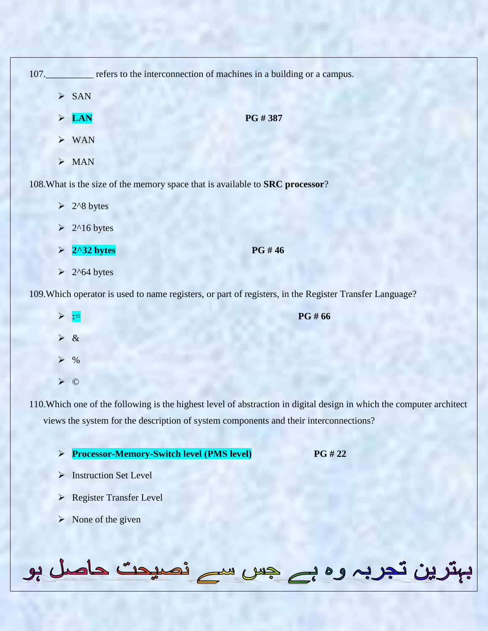|                       |                               | 107. refers to the interconnection of machines in a building or a campus.                               |
|-----------------------|-------------------------------|---------------------------------------------------------------------------------------------------------|
|                       | $\triangleright$ SAN          |                                                                                                         |
|                       | $\triangleright$ LAN          | PG #387                                                                                                 |
|                       | $\triangleright$ WAN          |                                                                                                         |
|                       | $>$ MAN                       |                                                                                                         |
|                       |                               | 108. What is the size of the memory space that is available to <b>SRC</b> processor?                    |
|                       | $\geq 2^8$ bytes              |                                                                                                         |
|                       | $\geq 2^{\text{16 bytes}}$    |                                                                                                         |
|                       | $\triangleright$ 2^32 bytes   | PG #46                                                                                                  |
|                       | $\geq 2$ <sup>^64</sup> bytes |                                                                                                         |
|                       |                               | 109. Which operator is used to name registers, or part of registers, in the Register Transfer Language? |
| $\blacktriangleright$ |                               | PG # 66                                                                                                 |
| $\blacktriangleright$ | $\&$                          |                                                                                                         |

- $\triangleright$  %
- ©

110.Which one of the following is the highest level of abstraction in digital design in which the computer architect views the system for the description of system components and their interconnections?

- **Processor-Memory-Switch level (PMS level) PG # 22**
- > Instruction Set Level
- Register Transfer Level
- $\triangleright$  None of the given

بہترین تجربہ وہ بے جس سے نصیحت حاصل ہو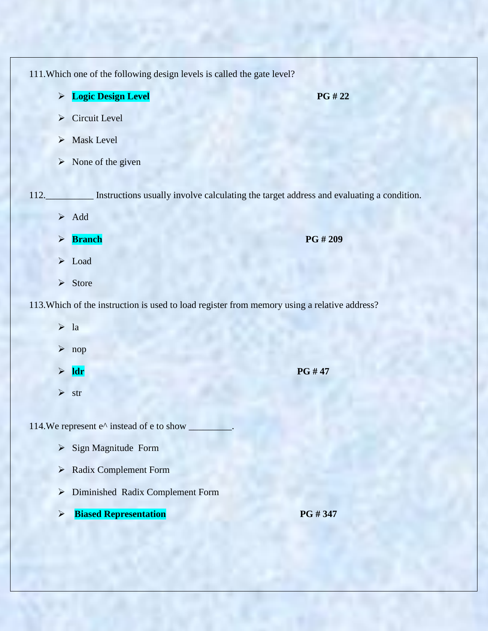111.Which one of the following design levels is called the gate level?

- **Logic Design Level** PG # 22
- $\triangleright$  Circuit Level
- > Mask Level
- $\triangleright$  None of the given

112.\_\_\_\_\_\_\_\_\_\_ Instructions usually involve calculating the target address and evaluating a condition.

- $\triangleright$  Add
- **Branch PG # 209**
- $\triangleright$  Load
- $\triangleright$  Store

113.Which of the instruction is used to load register from memory using a relative address?

- $\triangleright$  la
- nop
- **ldr** PG # 47
- $\triangleright$  str

114.We represent  $e^{\wedge}$  instead of e to show

- $\triangleright$  Sign Magnitude Form
- Radix Complement Form
- Diminished Radix Complement Form
- **Biased Representation** PG # 347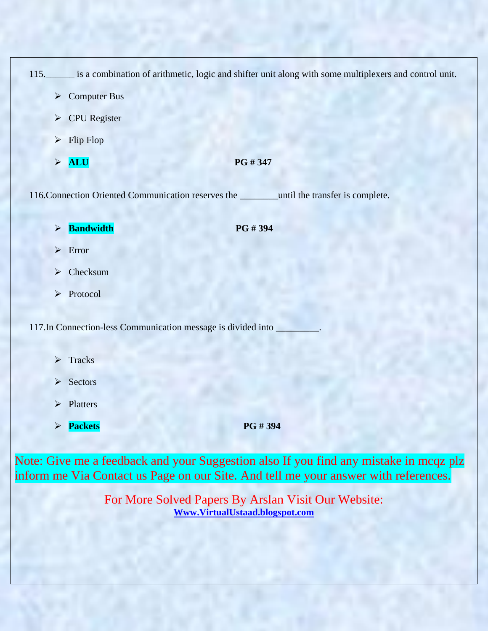115.\_\_\_\_\_\_ is a combination of arithmetic, logic and shifter unit along with some multiplexers and control unit.

- $\triangleright$  Computer Bus
- CPU Register
- $\triangleright$  Flip Flop
- $\triangleright$  **ALU** PG # 347

116.Connection Oriented Communication reserves the \_\_\_\_\_\_\_\_until the transfer is complete.

**Bandwidth** PG # 394

- > Error
- > Checksum
- > Protocol

117.In Connection-less Communication message is divided into \_\_\_\_\_\_\_\_\_.

- > Tracks
- $\triangleright$  Sectors
- Platters
- **Packets** PG # 394

Note: Give me a feedback and your Suggestion also If you find any mistake in mcqz plz inform me Via Contact us Page on our Site. And tell me your answer with references.

> For More Solved Papers By Arslan Visit Our Website: **[Www.VirtualUstaad.blogspot.com](http://www.virtualustaad.blogspot.com/)**